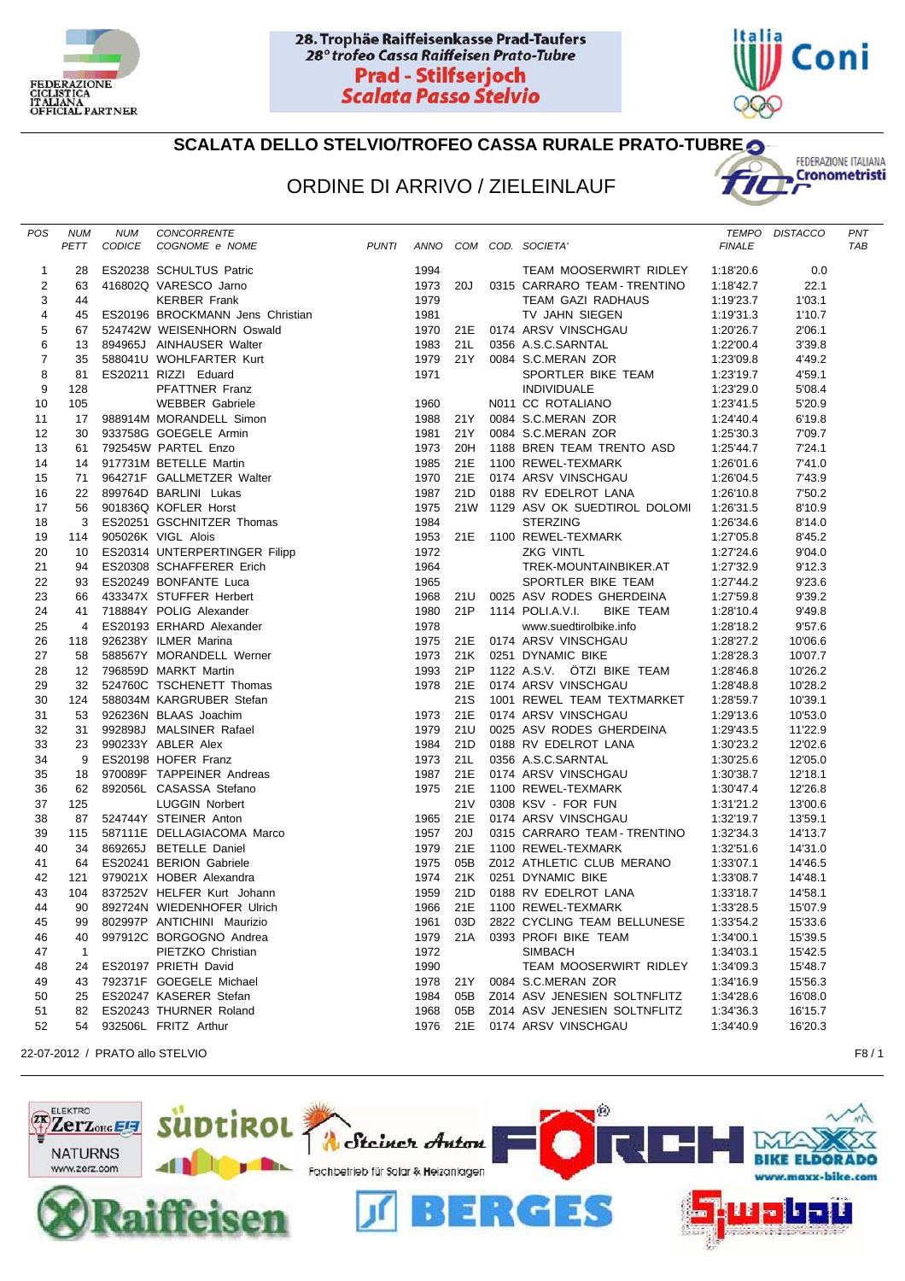



## **SCALATA DELLO STELVIO/TROFEO CASSA RURALE PRATO-TUBRE**

## ORDINE DI ARRIVO / ZIELEINLAUF



| POS            | NUM          | NUM | CONCORRENTE                                                                                                                                                                                                                                                             |          |                 |                                                   |               | TEMPO DISTACCO | PNT |
|----------------|--------------|-----|-------------------------------------------------------------------------------------------------------------------------------------------------------------------------------------------------------------------------------------------------------------------------|----------|-----------------|---------------------------------------------------|---------------|----------------|-----|
|                |              |     | <b>PUNTI</b><br>PETT CODICE COGNOME e NOME                                                                                                                                                                                                                              |          |                 | ANNO COM COD. SOCIETA'                            | <b>FINALE</b> |                | TAB |
|                |              |     |                                                                                                                                                                                                                                                                         |          |                 |                                                   |               |                |     |
| 1              |              |     |                                                                                                                                                                                                                                                                         | 1994     |                 | TEAM MOOSERWIRT RIDLEY                            | 1:18'20.6     | 0.0            |     |
| $\overline{2}$ |              |     |                                                                                                                                                                                                                                                                         | 1973 20J |                 | 0315 CARRARO TEAM - TRENTINO                      | 1:18'42.7     | 22.1           |     |
| 3              |              |     |                                                                                                                                                                                                                                                                         | 1979     |                 | TEAM GAZI RADHAUS                                 | 1:19'23.7     | 1'03.1         |     |
| $\overline{4}$ |              |     |                                                                                                                                                                                                                                                                         | 1981     |                 | TV JAHN SIEGEN                                    | 1:19'31.3     | 1'10.7         |     |
| 5              |              |     |                                                                                                                                                                                                                                                                         |          |                 | 1970 21E 0174 ARSV VINSCHGAU                      | 1:20'26.7     | 2'06.1         |     |
| 6              |              |     |                                                                                                                                                                                                                                                                         | 1983 21L |                 | 0356 A.S.C.SARNTAL                                | 1:22'00.4     | 3'39.8         |     |
| $\overline{7}$ |              |     |                                                                                                                                                                                                                                                                         | 1979     | 21 Y            | 0084 S.C.MERAN ZOR                                | 1:23'09.8     | 4'49.2         |     |
| 8              |              |     |                                                                                                                                                                                                                                                                         | 1971     |                 | SPORTLER BIKE TEAM                                | 1:23'19.7     | 4'59.1         |     |
| 9              |              |     |                                                                                                                                                                                                                                                                         |          |                 | <b>INDIVIDUALE</b>                                | 1:23'29.0     | 5'08.4         |     |
| 10             |              |     |                                                                                                                                                                                                                                                                         | 1960     |                 | N011 CC ROTALIANO<br>0084 S.C.MERAN ZOR           | 1:23'41.5     | 5'20.9         |     |
| 11             |              |     |                                                                                                                                                                                                                                                                         | 1988 21Y |                 | 0084 S.C.MERAN ZOR                                | 1:24'40.4     | 6'19.8         |     |
| 12             |              |     |                                                                                                                                                                                                                                                                         | 1981     | 21Y             | 0084 S.C.MERAN ZOR                                | 1:25'30.3     | 7'09.7         |     |
| 13             |              |     |                                                                                                                                                                                                                                                                         | 1973     | 20H             | 1188 BREN TEAM TRENTO ASD                         | 1:25'44.7     | 7'24.1         |     |
| 14             |              |     |                                                                                                                                                                                                                                                                         | 1985     | 21E             | 1100 REWEL-TEXMARK                                | 1:26'01.6     | 7'41.0         |     |
| 15             |              |     |                                                                                                                                                                                                                                                                         | 1970     | 21E             | 0174 ARSV VINSCHGAU                               | 1:26'04.5     | 7'43.9         |     |
| 16             |              |     |                                                                                                                                                                                                                                                                         | 1987     |                 | 21D 0188 RV EDELROT LANA                          | 1:26'10.8     | 7'50.2         |     |
| 17             |              |     |                                                                                                                                                                                                                                                                         | 1975     |                 | 21W 1129 ASV OK SUEDTIROL DOLOMI 1:26'31.5        |               | 8'10.9         |     |
| 18             |              |     |                                                                                                                                                                                                                                                                         | 1984     |                 | <b>STERZING</b>                                   | 1:26'34.6     | 8'14.0         |     |
| 19             |              |     |                                                                                                                                                                                                                                                                         |          |                 | 1953 21E 1100 REWEL-TEXMARK                       | 1:27'05.8     | 8'45.2         |     |
| 20             |              |     |                                                                                                                                                                                                                                                                         | 1972     |                 | <b>ZKG VINTL</b>                                  | 1:27'24.6     | 9'04.0         |     |
| 21             |              |     |                                                                                                                                                                                                                                                                         | 1964     |                 | TREK-MOUNTAINBIKER.AT                             | 1:27'32.9     | 9'12.3         |     |
| 22             |              |     |                                                                                                                                                                                                                                                                         | 1965     |                 | SPORTLER BIKE TEAM                                | 1:27'44.2     | 9'23.6         |     |
| 23             |              |     |                                                                                                                                                                                                                                                                         | 1968     |                 | 21U 0025 ASV RODES GHERDEINA                      | 1:27'59.8     | 9'39.2         |     |
| 24             |              |     |                                                                                                                                                                                                                                                                         | 1980     |                 | 21P 1114 POLI.A.V.I.<br>BIKE TEAM                 | 1:28'10.4     | 9'49.8         |     |
| 25             |              |     |                                                                                                                                                                                                                                                                         | 1978     |                 | www.suedtirolbike.info                            | 1:28'18.2     | 9'57.6         |     |
| 26             |              |     |                                                                                                                                                                                                                                                                         | 1975     |                 | 21E 0174 ARSV VINSCHGAU                           | 1:28'27.2     | 10'06.6        |     |
| 27             |              |     |                                                                                                                                                                                                                                                                         | 1973     |                 | 21K 0251 DYNAMIC BIKE                             | 1:28'28.3     | 10'07.7        |     |
| 28             |              |     |                                                                                                                                                                                                                                                                         | 1993     | 21P             | 1122 A.S.V. ÖTZI BIKE TEAM                        | 1:28'46.8     | 10'26.2        |     |
| 29             |              |     |                                                                                                                                                                                                                                                                         |          |                 | 1978 21E 0174 ARSV VINSCHGAU                      | 1:28'48.8     | 10'28.2        |     |
| 30             |              |     |                                                                                                                                                                                                                                                                         |          | 21S             | 1001 REWEL TEAM TEXTMARKET                        | 1:28'59.7     | 10'39.1        |     |
| 31             |              |     |                                                                                                                                                                                                                                                                         | 1973     | 21E             | 0174 ARSV VINSCHGAU                               | 1:29'13.6     | 10'53.0        |     |
| 32             |              |     |                                                                                                                                                                                                                                                                         | 1979     | 21U             | 0025 ASV RODES GHERDEINA                          | 1:29'43.5     | 11'22.9        |     |
| 33             |              |     |                                                                                                                                                                                                                                                                         | 1984     | 21D             | 0188 RV EDELROT LANA                              | 1:30'23.2     | 12'02.6        |     |
| 34             |              |     |                                                                                                                                                                                                                                                                         | 1973     | 21L             |                                                   | 1:30'25.6     | 12'05.0        |     |
| 35             |              |     |                                                                                                                                                                                                                                                                         | 1987     | 21E             |                                                   | 1:30'38.7     | 12'18.1        |     |
| 36             |              |     |                                                                                                                                                                                                                                                                         | 1975 21E |                 | <b>MANUS AN ARSY VINSCHGAU</b><br>1100 REWEL TEXT | 1:30'47.4     | 12'26.8        |     |
| 37             |              |     |                                                                                                                                                                                                                                                                         |          | 21 <sub>V</sub> | 1100 REWEL-TEXMARK<br>0308 KSV - FOR FUN          | 1:31'21.2     | 13'00.6        |     |
| 38             |              |     |                                                                                                                                                                                                                                                                         | 1965 21E |                 | 0174 ARSV VINSCHGAU                               | 1:32'19.7     | 13'59.1        |     |
| 39             |              |     |                                                                                                                                                                                                                                                                         | 1957     | 20J             | 0315 CARRARO TEAM - TRENTINO                      | 1:32'34.3     | 14'13.7        |     |
| 40             |              |     |                                                                                                                                                                                                                                                                         | 1979     | 21E             | 1100 REWEL-TEXMARK                                | 1:32'51.6     | 14'31.0        |     |
| 41             |              |     |                                                                                                                                                                                                                                                                         | 1975     | 05B             | Z012 ATHLETIC CLUB MERANO                         | 1:33'07.1     | 14'46.5        |     |
| 42             |              |     |                                                                                                                                                                                                                                                                         | 1974     | 21K             | 0251 DYNAMIC BIKE                                 | 1:33'08.7     | 14'48.1        |     |
| 43             |              |     |                                                                                                                                                                                                                                                                         | 1959     | 21D             | 0188 RV EDELROT LANA                              | 1:33'18.7     | 14'58.1        |     |
| 44             |              |     |                                                                                                                                                                                                                                                                         | 1966     | 21E             | 1100 REWEL-TEXMARK                                | 1:33'28.5     | 15'07.9        |     |
| 45             | 99           |     | 802997P ANTICHINI Maurizio                                                                                                                                                                                                                                              | 1961     | 03D             | 2822 CYCLING TEAM BELLUNESE                       | 1:33'54.2     | 15'33.6        |     |
| 46             | 40           |     | NUM NUM CONCRETTE FORMATION CONTRET CODIC COGNOME e NOME<br>TET CODICE COGNOME e NOME<br>SES ESSONS SCHULTUS Patric<br>44 46802Q VARESEO Jamo<br>64 46802Q VARESEO Jamo<br>67 524742W WEISENHORN Oswald<br>67 524742W WEISENHORN Oswald<br>6<br>997912C BORGOGNO Andrea | 1979     | 21A             | 0393 PROFI BIKE TEAM                              | 1:34'00.1     | 15'39.5        |     |
| 47             | $\mathbf{1}$ |     | PIETZKO Christian                                                                                                                                                                                                                                                       | 1972     |                 | <b>SIMBACH</b>                                    | 1:34'03.1     | 15'42.5        |     |
| 48             | 24           |     | ES20197 PRIETH David                                                                                                                                                                                                                                                    | 1990     |                 | TEAM MOOSERWIRT RIDLEY                            | 1:34'09.3     | 15'48.7        |     |
| 49             | 43           |     | 792371F GOEGELE Michael                                                                                                                                                                                                                                                 | 1978     |                 | 0084 S.C.MERAN ZOR                                | 1:34'16.9     | 15'56.3        |     |
|                |              |     | ES20247 KASERER Stefan                                                                                                                                                                                                                                                  | 1984     | 21 Y<br>05B     | Z014 ASV JENESIEN SOLTNFLITZ                      | 1:34'28.6     | 16'08.0        |     |
| 50             | 25<br>82     |     |                                                                                                                                                                                                                                                                         |          | 05B             |                                                   |               | 16'15.7        |     |
| 51             |              |     | ES20243 THURNER Roland                                                                                                                                                                                                                                                  | 1968     |                 | Z014 ASV JENESIEN SOLTNFLITZ                      | 1:34'36.3     | 16'20.3        |     |
| 52             | 54           |     | 932506L FRITZ Arthur                                                                                                                                                                                                                                                    | 1976     | 21E             | 0174 ARSV VINSCHGAU                               | 1:34'40.9     |                |     |

22-07-2012 / PRATO allo STELVIO F8 / 1

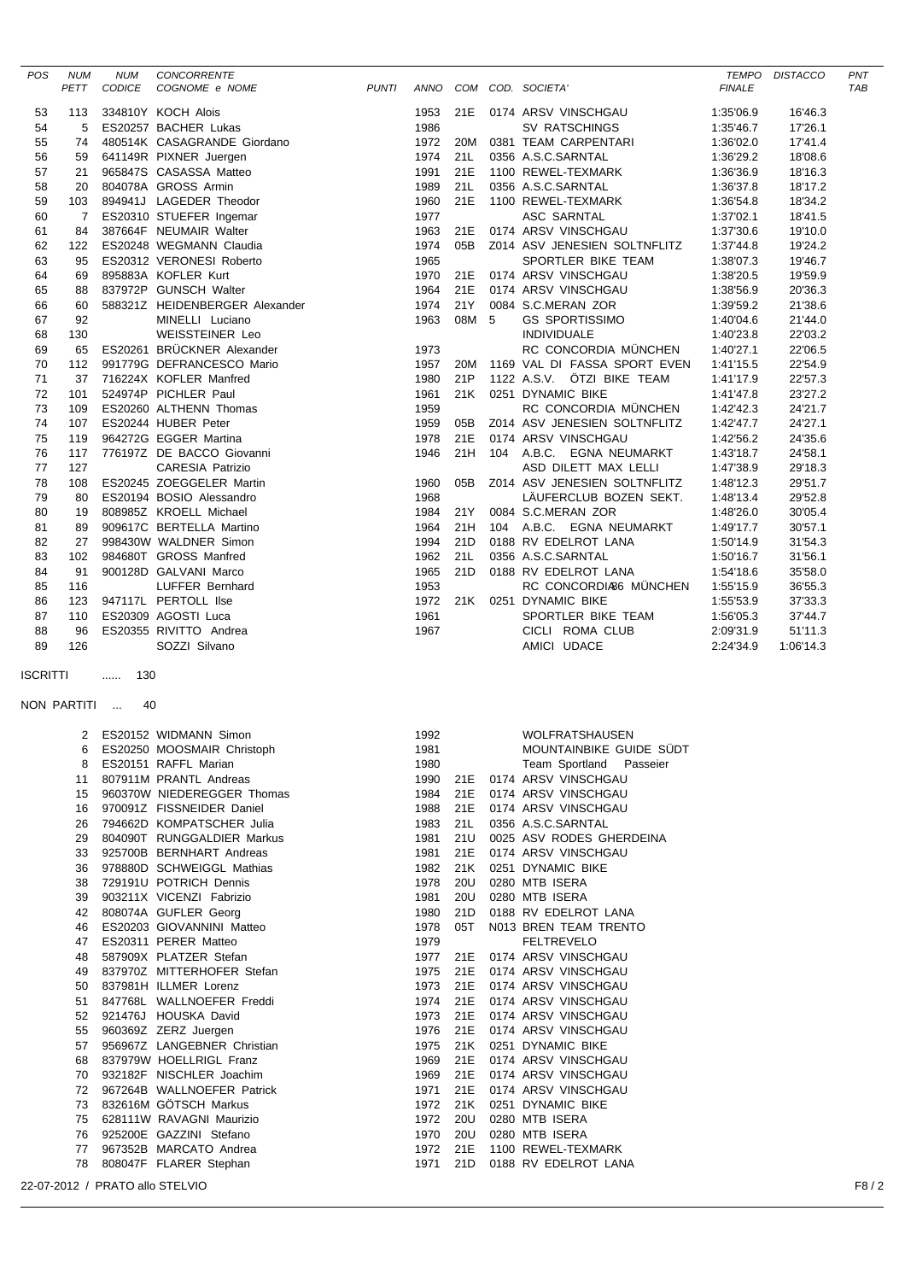| <b>POS</b>      | <b>NUM</b>  | <b>NUM</b>                      | <b>CONCORRENTE</b>             |       |          |       |                              |               | TEMPO DISTACCO | PNT  |
|-----------------|-------------|---------------------------------|--------------------------------|-------|----------|-------|------------------------------|---------------|----------------|------|
|                 | PETT        | CODICE                          | COGNOME e NOME                 | PUNTI |          |       | ANNO COM COD. SOCIETA'       | <b>FINALE</b> |                | TAB  |
|                 |             |                                 |                                |       |          |       |                              |               |                |      |
| 53              | 113         |                                 | 334810Y KOCH Alois             |       | 1953     | 21E   | 0174 ARSV VINSCHGAU          | 1:35'06.9     | 16'46.3        |      |
| 54              | 5           |                                 | ES20257 BACHER Lukas           |       | 1986     |       | <b>SV RATSCHINGS</b>         | 1:35'46.7     | 17'26.1        |      |
| 55              | 74          |                                 | 480514K CASAGRANDE Giordano    |       | 1972     | 20M   | 0381 TEAM CARPENTARI         | 1:36'02.0     | 17'41.4        |      |
| 56              | 59          |                                 | 641149R PIXNER Juergen         |       | 1974     | 21L   | 0356 A.S.C.SARNTAL           | 1:36'29.2     | 18'08.6        |      |
| 57              | 21          |                                 | 965847S CASASSA Matteo         |       | 1991     | 21E   | 1100 REWEL-TEXMARK           | 1:36'36.9     | 18'16.3        |      |
| 58              | 20          |                                 | 804078A GROSS Armin            |       | 1989     | 21L   | 0356 A.S.C.SARNTAL           | 1:36'37.8     | 18'17.2        |      |
| 59              | 103         |                                 | 894941J LAGEDER Theodor        |       | 1960     | 21E   | 1100 REWEL-TEXMARK           | 1:36'54.8     | 18'34.2        |      |
| 60              | 7           |                                 | ES20310 STUEFER Ingemar        |       | 1977     |       | ASC SARNTAL                  | 1:37'02.1     | 18'41.5        |      |
| 61              | 84          |                                 | 387664F NEUMAIR Walter         |       | 1963     | 21E   | 0174 ARSV VINSCHGAU          | 1:37'30.6     | 19'10.0        |      |
| 62              | 122         |                                 | ES20248 WEGMANN Claudia        |       | 1974     | 05B   | Z014 ASV JENESIEN SOLTNFLITZ | 1:37'44.8     | 19'24.2        |      |
| 63              | 95          |                                 | ES20312 VERONESI Roberto       |       | 1965     |       | SPORTLER BIKE TEAM           | 1:38'07.3     | 19'46.7        |      |
| 64              | 69          |                                 | 895883A KOFLER Kurt            |       | 1970     | 21E   | 0174 ARSV VINSCHGAU          | 1:38'20.5     | 19'59.9        |      |
| 65              | 88          |                                 | 837972P GUNSCH Walter          |       | 1964     | 21E   | 0174 ARSV VINSCHGAU          | 1:38'56.9     | 20'36.3        |      |
| 66              | 60          |                                 | 588321Z HEIDENBERGER Alexander |       | 1974     | 21Y   | 0084 S.C.MERAN ZOR           | 1:39'59.2     | 21'38.6        |      |
| 67              | 92          |                                 | MINELLI Luciano                |       | 1963     | 08M 5 | <b>GS SPORTISSIMO</b>        | 1:40'04.6     | 21'44.0        |      |
| 68              | 130         |                                 | <b>WEISSTEINER Leo</b>         |       |          |       | <b>INDIVIDUALE</b>           | 1:40'23.8     | 22'03.2        |      |
| 69              | 65          |                                 | ES20261 BRÜCKNER Alexander     |       | 1973     |       | RC CONCORDIA MÜNCHEN         | 1:40'27.1     | 22'06.5        |      |
| 70              | 112         |                                 | 991779G DEFRANCESCO Mario      |       | 1957     | 20M   | 1169 VAL DI FASSA SPORT EVEN | 1:41'15.5     | 22'54.9        |      |
| 71              | 37          |                                 | 716224X KOFLER Manfred         |       | 1980     | 21P   | 1122 A.S.V. ÖTZI BIKE TEAM   | 1:41'17.9     | 22'57.3        |      |
| 72              | 101         |                                 | 524974P PICHLER Paul           |       | 1961     | 21K   | 0251 DYNAMIC BIKE            | 1:41'47.8     | 23'27.2        |      |
| 73              | 109         |                                 | ES20260 ALTHENN Thomas         |       | 1959     |       | RC CONCORDIA MÜNCHEN         | 1:42'42.3     | 24'21.7        |      |
| 74              | 107         |                                 | ES20244 HUBER Peter            |       | 1959     | 05B   | Z014 ASV JENESIEN SOLTNFLITZ | 1:42'47.7     | 24'27.1        |      |
| 75              | 119         |                                 | 964272G EGGER Martina          |       | 1978     | 21E   | 0174 ARSV VINSCHGAU          | 1:42'56.2     | 24'35.6        |      |
| 76              | 117         |                                 | 776197Z DE BACCO Giovanni      |       | 1946     | 21H   | 104 A.B.C. EGNA NEUMARKT     | 1:43'18.7     | 24'58.1        |      |
| 77              | 127         |                                 | <b>CARESIA Patrizio</b>        |       |          |       | ASD DILETT MAX LELLI         | 1:47'38.9     | 29'18.3        |      |
| 78              | 108         |                                 | ES20245 ZOEGGELER Martin       |       | 1960     | 05B   | Z014 ASV JENESIEN SOLTNFLITZ | 1:48'12.3     | 29'51.7        |      |
| 79              | 80          |                                 | ES20194 BOSIO Alessandro       |       | 1968     |       | LÄUFERCLUB BOZEN SEKT.       | 1:48'13.4     | 29'52.8        |      |
| 80              | 19          |                                 | 808985Z KROELL Michael         |       | 1984     | 21Y   | 0084 S.C.MERAN ZOR           | 1:48'26.0     | 30'05.4        |      |
| 81              | 89          |                                 | 909617C BERTELLA Martino       |       | 1964     | 21H   | 104 A.B.C. EGNA NEUMARKT     | 1:49'17.7     | 30'57.1        |      |
| 82              | 27          |                                 | 998430W WALDNER Simon          |       | 1994     | 21D   | 0188 RV EDELROT LANA         | 1:50'14.9     | 31'54.3        |      |
| 83              | 102         |                                 | 984680T GROSS Manfred          |       | 1962     | 21L   | 0356 A.S.C.SARNTAL           | 1:50'16.7     | 31'56.1        |      |
| 84              | 91          |                                 | 900128D GALVANI Marco          |       | 1965     | 21D   | 0188 RV EDELROT LANA         | 1:54'18.6     | 35'58.0        |      |
| 85              | 116         |                                 | LUFFER Bernhard                |       | 1953     |       | RC CONCORDIA66 MÜNCHEN       | 1:55'15.9     | 36'55.3        |      |
| 86              | 123         |                                 | 947117L PERTOLL IIse           |       | 1972     | 21K   | 0251 DYNAMIC BIKE            | 1:55'53.9     | 37'33.3        |      |
| 87              | 110         |                                 | ES20309 AGOSTI Luca            |       | 1961     |       | SPORTLER BIKE TEAM           | 1:56'05.3     | 37'44.7        |      |
| 88              | 96          |                                 | ES20355 RIVITTO Andrea         |       | 1967     |       | CICLI ROMA CLUB              | 2:09'31.9     | 51'11.3        |      |
| 89              | 126         |                                 | SOZZI Silvano                  |       |          |       | AMICI UDACE                  | 2:24'34.9     | 1:06'14.3      |      |
|                 |             |                                 |                                |       |          |       |                              |               |                |      |
| <b>ISCRITTI</b> |             | 130<br>$\cdots$                 |                                |       |          |       |                              |               |                |      |
|                 |             |                                 |                                |       |          |       |                              |               |                |      |
|                 | NON PARTITI | 40                              |                                |       |          |       |                              |               |                |      |
|                 |             |                                 |                                |       |          |       |                              |               |                |      |
|                 | 2           |                                 | ES20152 WIDMANN Simon          |       | 1992     |       | <b>WOLFRATSHAUSEN</b>        |               |                |      |
|                 |             |                                 | 6 ES20250 MOOSMAIR Christoph   |       | 1981     |       | MOUNTAINBIKE GUIDE SÜDT      |               |                |      |
|                 |             |                                 | ES20151 RAFFL Marian           |       | 1980     |       | Team Sportland Passeier      |               |                |      |
|                 | 11          |                                 | 807911M PRANTL Andreas         |       |          |       | 1990 21E 0174 ARSV VINSCHGAU |               |                |      |
|                 | 15          |                                 | 960370W NIEDEREGGER Thomas     |       | 1984     |       | 21E 0174 ARSV VINSCHGAU      |               |                |      |
|                 | 16          |                                 | 970091Z FISSNEIDER Daniel      |       | 1988     | 21E   | 0174 ARSV VINSCHGAU          |               |                |      |
|                 | 26          |                                 | 794662D KOMPATSCHER Julia      |       | 1983     | 21 L  | 0356 A.S.C.SARNTAL           |               |                |      |
|                 | 29          |                                 | 804090T RUNGGALDIER Markus     |       | 1981     | 21U   | 0025 ASV RODES GHERDEINA     |               |                |      |
|                 | 33          |                                 | 925700B BERNHART Andreas       |       | 1981     | 21E   | 0174 ARSV VINSCHGAU          |               |                |      |
|                 | 36          |                                 | 978880D SCHWEIGGL Mathias      |       | 1982     | 21K   | 0251 DYNAMIC BIKE            |               |                |      |
|                 | 38          |                                 | 729191U POTRICH Dennis         |       | 1978     | 20U   | 0280 MTB ISERA               |               |                |      |
|                 | 39          |                                 | 903211X VICENZI Fabrizio       |       | 1981     | 20U   | 0280 MTB ISERA               |               |                |      |
|                 | 42          |                                 | 808074A GUFLER Georg           |       | 1980     | 21D   | 0188 RV EDELROT LANA         |               |                |      |
|                 | 46          |                                 | ES20203 GIOVANNINI Matteo      |       | 1978     | 05T   | N013 BREN TEAM TRENTO        |               |                |      |
|                 | 47          |                                 | ES20311 PERER Matteo           |       | 1979     |       | <b>FELTREVELO</b>            |               |                |      |
|                 | 48          |                                 | 587909X PLATZER Stefan         |       |          |       | 1977 21E 0174 ARSV VINSCHGAU |               |                |      |
|                 | 49          |                                 | 837970Z MITTERHOFER Stefan     |       | 1975     |       | 21E 0174 ARSV VINSCHGAU      |               |                |      |
|                 | 50          |                                 | 837981H ILLMER Lorenz          |       | 1973     |       | 21E 0174 ARSV VINSCHGAU      |               |                |      |
|                 | 51          |                                 | 847768L WALLNOEFER Freddi      |       | 1974     | 21E   | 0174 ARSV VINSCHGAU          |               |                |      |
|                 | 52          |                                 | 921476J HOUSKA David           |       | 1973     |       | 21E 0174 ARSV VINSCHGAU      |               |                |      |
|                 | 55          |                                 | 960369Z ZERZ Juergen           |       | 1976     | 21E   | 0174 ARSV VINSCHGAU          |               |                |      |
|                 | 57          |                                 | 956967Z LANGEBNER Christian    |       | 1975     | 21K   | 0251 DYNAMIC BIKE            |               |                |      |
|                 | 68          |                                 | 837979W HOELLRIGL Franz        |       | 1969     | 21E   | 0174 ARSV VINSCHGAU          |               |                |      |
|                 | 70          |                                 | 932182F NISCHLER Joachim       |       | 1969     | 21E   | 0174 ARSV VINSCHGAU          |               |                |      |
|                 | 72          |                                 | 967264B WALLNOEFER Patrick     |       | 1971     | 21E   | 0174 ARSV VINSCHGAU          |               |                |      |
|                 | 73          |                                 | 832616M GÖTSCH Markus          |       | 1972     | 21K   | 0251 DYNAMIC BIKE            |               |                |      |
|                 | 75          |                                 | 628111W RAVAGNI Maurizio       |       | 1972     | 20U   | 0280 MTB ISERA               |               |                |      |
|                 | 76          |                                 | 925200E GAZZINI Stefano        |       | 1970     | 20U   | 0280 MTB ISERA               |               |                |      |
|                 | 77          |                                 | 967352B MARCATO Andrea         |       | 1972 21E |       | 1100 REWEL-TEXMARK           |               |                |      |
|                 | 78          |                                 | 808047F FLARER Stephan         |       | 1971     |       | 21D 0188 RV EDELROT LANA     |               |                |      |
|                 |             |                                 |                                |       |          |       |                              |               |                |      |
|                 |             | 22-07-2012 / PRATO allo STELVIO |                                |       |          |       |                              |               |                | F8/2 |